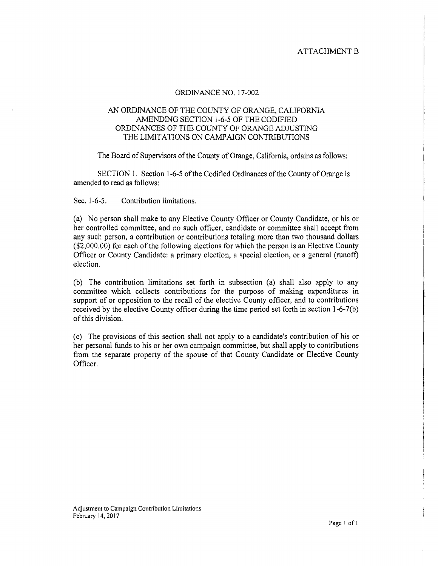### ATTACHMENT B

#### ORDINANCE NO. 17-002

#### AN ORDINANCE OF THE COUNTY OF ORANGE, CALIFORNIA AMENDING SECTION 1-6-5 OF THE CODIFIED ORDINANCES OF THE COUNTY OF ORANGE ADJUSTING THE LIMITATlONS ON CAMPAlGN CONTRIBUTIONS

The Board of Supervisors of the County of Orange, California, ordains as follows:

SECTION 1. Section 1-6-5 of the Codified Ordinances of the County of Orange is amended to read as follows:

Sec. 1-6-5. Contribution limitations.

(a) No person shall make to any Elective County Officer or County Candidate, or his or her controlled committee, and no such officer, candidate or committee shall accept from any such person, a contribution or contributions totaling more than two thousand dollars  $($2,000.00)$  for each of the following elections for which the person is an Elective County Officer or County Candidate: a primary election, a special election, or a general (runoff) election.

(b) The contribution limitations set forth in subsection (a) shall also apply to any committee which collects contributions for the purpose of making expenditures in support of or opposition to the recall of the elective County officer, and to contributions received by the elective County officer during the time period set forth in section l-6-7(b) of this division.

(c) The provisions of this section shall not apply to a candidate's contribution of his or her personal funds to his or her own campaign committee, but shall apply to contributions from the separate property of the spouse of that County Candidate or Elective County Officer.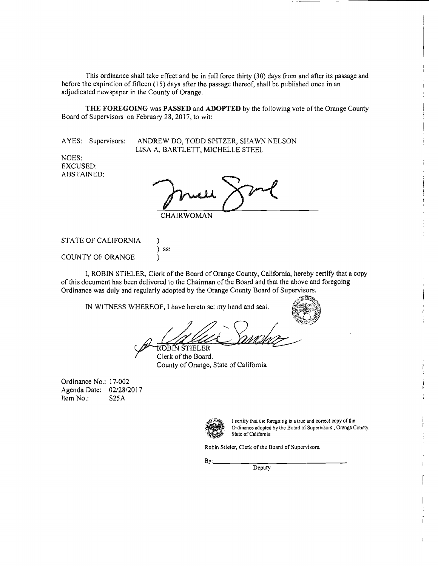This ordinance shall take effect and be in full force thirty (30) days from and after its passage and before the expiration of fifteen (15) days after the passage thereof, shall be published once in an adjudicated newspaper in the County of Orange.

**THE FOREGOING** was **PASSED** and **ADOPTED** by the following vote ofthe Orange County Board of Supervisors on February 28, 2017, to wit:

AYES: Supervisors: ANDREW DO, TODD SPITZER, SHAWN NELSON LISA A. BARTLETT, MICHELLE STEEL

NOES: EXCUSED: ABSTAINED:

**CHAIRWOMAN** 

STATE OF CALIFORNIA )

COUNTY OF ORANGE

I, ROBIN STIELER, Clerk of the Board of Orange County, California, hereby certify that a copy ofthis document has been delivered to the Chairman ofthe Board and that the above and foregoing Ordinance was duly and regularly adopted by the Orange County Board of Supervisors.

IN WITNESS WHEREOF, I have hereto set my hand and seal.

) ss:



Clerk of the Board.

Clerk of the Board. County of Orange, State of California

Ordinance No.: 17-002 Agenda Date: 02/28/2017 Item No.: S25A



I certify that the foregoing is a true and correct copy of the Ordinance adopted by the Board of Supervisors, Orange County, **State of California** 

Robin Stieler, Clerk of the Board of Supervisors.

 $Bv:$ 

**Deputy**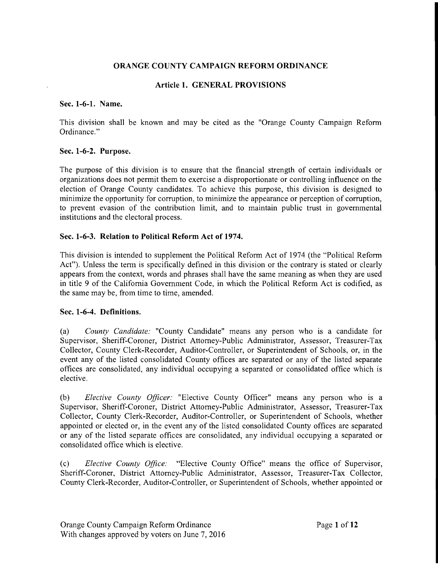### **ORANGE COUNTY CAMPAIGN REFORM ORDINANCE**

### **Article 1. GENERAL PROVISIONS**

#### **Sec. 1-6-1. Name.**

This division shall be known and may be cited as the "Orange County Campaign Reform Ordinance."

#### **Sec. 1-6-2. Purpose.**

The purpose of this division is to ensure that the financial strength of certain individuals or organizations does not permit them to exercise a disproportionate or controlling influence on the election of Orange County candidates. To achieve this purpose, this division is designed to minimize the opportunity for corruption, to minimize the appearance or perception of corruption, to prevent evasion of the contribution limit, and to maintain public trust in governmental institutions and the electoral process.

### **Sec. 1-6-3. Relation to Political Reform Act of 1974.**

This division is intended to supplement the Political Reform Act of 1974 (the "Political Reform Act"). Unless the term is specifically defined in this division or the contrary is stated or clearly appears from the context, words and phrases shall have the same meaning as when they are used in title 9 of the California Government Code, in which the Political Reform Act is codified, as the same may be, from time to time, amended.

#### **Sec. 1-6-4. Definitions.**

(a) *County Candidate:* "County Candidate" means any person who is a candidate for Supervisor, Sheriff-Coroner, District Attorney-Public Administrator, Assessor, Treasurer-Tax Collector, County Clerk-Recorder, Auditor-Controller, or Superintendent of Schools, or, in the event any of the listed consolidated County offices are separated or any of the listed separate offices are consolidated, any individual occupying a separated or consolidated office which is elective.

(b) *Elective County Officer:* "Elective County Officer" means any person who is a Supervisor, Sheriff-Coroner, District Attorney-Public Administrator, Assessor, Treasurer-Tax Collector, County Clerk-Recorder, Auditor-Controller, or Superintendent of Schools, whether appointed or elected or, in the event any of the listed consolidated County offices are separated or any of the listed separate offices are consolidated, any individual occupying a separated or consolidated office which is elective.

(c) *Elective County Office:* "Elective County Office" means the office of Supervisor, Sheriff-Coroner, District Attorney-Public Administrator, Assessor, Treasurer-Tax Collector, County Clerk-Recorder, Auditor-Controller, or Superintendent of Schools, whether appointed or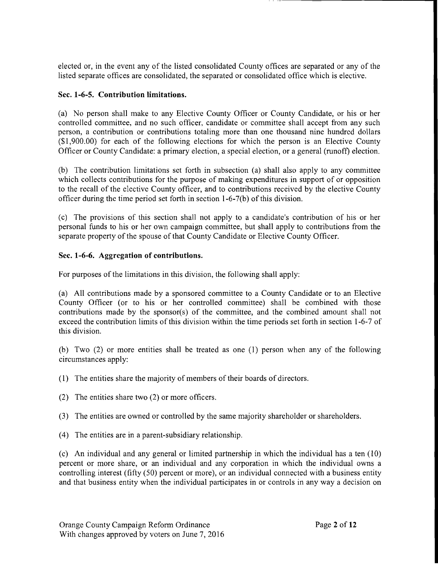elected or, in the event any of the listed consolidated County offices are separated or any of the listed separate offices are consolidated, the separated or consolidated office which is elective.

# **Sec. 1-6-5. Contribution limitations.**

(a) No person shall make to any Elective County Officer or County Candidate, or his or her controlled committee, and no such officer, candidate or committee shall accept from any such person, a contribution or contributions totaling more than one thousand nine hundred dollars (\$1,900.00) for each of the following elections for which the person is an Elective County Officer or County Candidate: a primary election, a special election, or a general (runoff) election.

(b) The contribution limitations set forth in subsection (a) shall also apply to any committee which collects contributions for the purpose of making expenditures in support of or opposition to the recall of the elective County officer, and to contributions received by the elective County officer during the time period set forth in section  $1-6-7(b)$  of this division.

(c) The provisions of this section shall not apply to a candidate's contribution of his or her personal funds to his or her own campaign committee, but shall apply to contributions from the separate property of the spouse of that County Candidate or Elective County Officer.

# **Sec. 1-6-6. Aggregation of contributions.**

For purposes of the limitations in this division, the following shall apply:

(a) All contributions made by a sponsored committee to a County Candidate or to an Elective County Officer (or to his or her controlled committee) shall be combined with those contributions made by the sponsor(s) of the committee, and the combined amount shall not exceed the contribution limits of this division within the time periods set forth in section 1-6-7 of this division.

(b) Two (2) or more entities shall be treated as one (1) person when any of the following circumstances apply:

- (1) The entities share the majority of members of their boards of directors.
- (2) The entities share two (2) or more officers.
- (3) The entities are owned or controlled by the same majority shareholder or shareholders.
- (4) The entities are in a parent-subsidiary relationship.

(c) An individual and any general or limited partnership in which the individual has a ten (10) percent or more share, or an individual and any corporation in which the individual owns a controlling interest (fifty (50) percent or more), or an individual connected with a business entity and that business entity when the individual participates in or controls in any way a decision on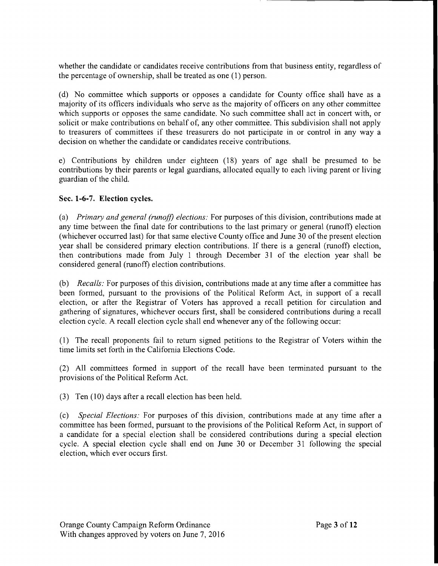whether the candidate or candidates receive contributions from that business entity, regardless of the percentage of ownership, shall be treated as one (1) person.

(d) No committee which supports or opposes a candidate for County office shall have as a majority of its officers individuals who serve as the majority of officers on any other committee which supports or opposes the same candidate. No such committee shall act in concert with, or solicit or make contributions on behalf of, any other committee. This subdivision shall not apply to treasurers of committees if these treasurers do not participate in or control in any way a decision on whether the candidate or candidates receive contributions.

e) Contributions by children under eighteen (18) years of age shall be presumed to be contributions by their parents or legal guardians, allocated equally to each living parent or living guardian of the child.

# Sec. **1-6-7. Election** cycles.

(a) *Primary and general (runoff) elections:* For purposes of this division, contributions made at any time between the final date for contributions to the last primary or general (runoff) election (whichever occurred last) for that same elective County office and June 30 of the present election year shall be considered primary election contributions. If there is a general (runoff) election, then contributions made from July 1 through December 31 of the election year shall be considered general (runoff) election contributions.

(b) *Recalls:* For purposes of this division, contributions made at any time after a committee has been formed, pursuant to the provisions of the Political Reform Act, in support of a recall election, or after the Registrar of Voters has approved a recall petition for circulation and gathering of signatures, whichever occurs first, shall be considered contributions during a recall election cycle. A recall election cycle shall end whenever any of the following occur:

(1) The recall proponents fail to return signed petitions to the Registrar of Voters within the time limits set forth in the California Elections Code.

(2) All committees formed in support of the recall have been terminated pursuant to the provisions of the Political Reform Act.

(3) Ten (10) days after a recall election has been held.

(c) *Special Elections:* For purposes of this division, contributions made at any time after a committee has been formed, pursuant to the provisions of the Political Reform Act, in support of a candidate for a special election shall be considered contributions during a special election cycle. A special election cycle shall end on June 30 or December 31 following the special election, which ever occurs first.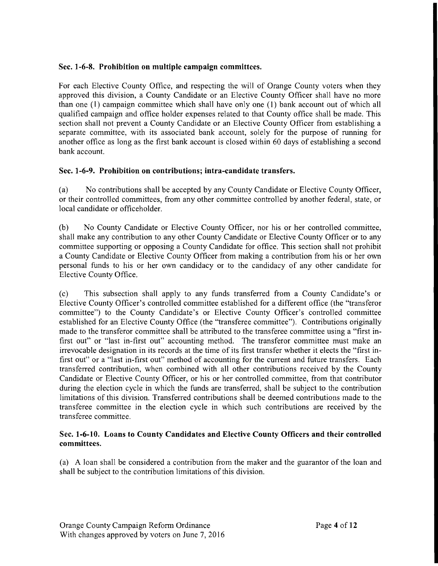## **Sec. 1-6-8. Prohibition on multiple campaign committees.**

For each Elective County Office, and respecting the will of Orange County voters when they approved this division, a County Candidate or an Elective County Officer shall have no more than one (1) campaign committee which shall have only one (1) bank account out of which all qualified campaign and office holder expenses related to that County office shall be made. This section shall not prevent a County Candidate or an Elective County Officer from establishing a separate committee, with its associated bank account, solely for the purpose of running for another office as long as the first bank account is closed within 60 days of establishing a second bank account.

# **Sec. 1-6-9. Prohibition on contributions; intra-candidate transfers.**

(a) No contributions shall be accepted by any County Candidate or Elective County Officer, or their controlled committees, from any other committee controlled by another federal, state, or local candidate or officeholder.

(b) No County Candidate or Elective County Officer, nor his or her controlled committee, shall make any contribution to any other County Candidate or Elective County Officer or to any committee supporting or opposing a County Candidate for office. This section shall not prohibit a County Candidate or Elective County Officer from making a contribution from his or her own personal funds to his or her own candidacy or to the candidacy of any other candidate for Elective County Office.

(c) This subsection shall apply to any funds transferred from a County Candidate's or Elective County Officer's controlled committee established for a different office (the "transferor committee") to the County Candidate's or Elective County Officer's controlled committee established for an Elective County Office (the "transferee committee"). Contributions originally made to the transferor committee shall be attributed to the transferee committee using a "first infirst out" or "last in-first out" accounting method. The transferor committee must make an irrevocable designation in its records at the time of its first transfer whether it elects the "first infirst out" or a "last in-first out" method of accounting for the current and future transfers. Each transferred contribution, when combined with all other contributions received by the County Candidate or Elective County Officer, or his or her controlled committee, from that contributor during the election cycle in which the funds are transferred, shall be subject to the contribution limitations of this division. Transferred contributions shall be deemed contributions made to the transferee committee in the election cycle in which such contributions are received by the transferee committee.

## **Sec. 1-6-10. Loans to County Candidates and Elective County Officers and their controlled committees.**

(a) A loan shall be considered a contribution from the maker and the guarantor of the loan and shall be subject to the contribution limitations of this division.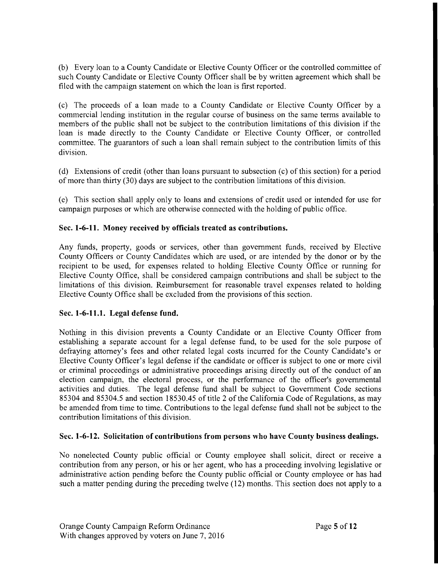(b) Every loan to a County Candidate or Elective County Officer or the controlled committee of such County Candidate or Elective County Officer shall be by written agreement which shall be filed with the campaign statement on which the loan is first reported.

(c) The proceeds of a loan made to a County Candidate or Elective County Officer by a commercial lending institution in the regular course of business on the same terms available to members of the public shall not be subject to the contribution limitations of this division if the loan is made directly to the County Candidate or Elective County Officer, or controlled committee. The guarantors of such a loan shall remain subject to the contribution limits of this division.

(d) Extensions of credit (other than loans pursuant to subsection (c) of this section) for a period of more than thirty (30) days are subject to the contribution limitations of this division.

(e) This section shall apply only to loans and extensions of credit used or intended for use for campaign purposes or which are otherwise connected with the holding of public office.

## Sec. 1-6-11. **Money received by officials treated as contributions.**

Any funds, property, goods or services, other than government funds, received by Elective County Officers or County Candidates which are used, or are intended by the donor or by the recipient to be used, for expenses related to holding Elective County Office or running for Elective County Office, shall be considered campaign contributions and shall be subject to the limitations of this division. Reimbursement for reasonable travel expenses related to holding Elective County Office shall be excluded from the provisions of this section.

## **Sec. 1-6-11.1. Legal defense fund.**

Nothing in this division prevents a County Candidate or an Elective County Officer from establishing a separate account for a legal defense fund, to be used for the sole purpose of defraying attorney's fees and other related legal costs incurred for the County Candidate's or Elective County Officer's legal defense if the candidate or officer is subject to one or more civil or criminal proceedings or administrative proceedings arising directly out of the conduct of an election campaign, the electoral process, or the performance of the officer's governmental activities and duties. The legal defense fund shall be subject to Government Code sections 85304 and 85304.5 and section 18530.45 of title 2 of the California Code of Regulations, as may be amended from time to time. Contributions to the legal defense fund shall not be subject to the contribution limitations of this division.

## **Sec. 1-6-12. Solicitation of contributions from persons who have County business dealings.**

No nonelected County public official or County employee shall solicit, direct or receive a contribution from any person, or his or her agent, who has a proceeding involving legislative or administrative action pending before the County public official or County employee or has had such a matter pending during the preceding twelve (12) months. This section does not apply to a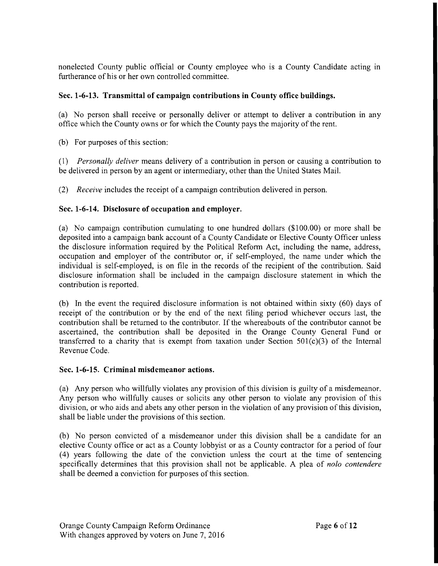nonelected County public official or County employee who is a County Candidate acting in furtherance of his or her own controlled committee.

# Sec. **1-6-13. Transmittal of campaign contributions in County office buildings.**

(a) No person shall receive or personally deliver or attempt to deliver a contribution in any office which the County owns or for which the County pays the majority of the rent.

(b) For purposes of this section:

*(1) Personally deliver* means delivery of a contribution in person or causing a contribution to be delivered in person by an agent or intermediary, other than the United States Mail.

*(2) Receive* includes the receipt of a campaign contribution delivered in person.

# Sec. **1-6-14. Disclosure of occupation and employer.**

(a) No campaign contribution cumulating to one hundred dollars (\$100.00) or more shall be deposited into a campaign bank account of a County Candidate or Elective County Officer unless the disclosure information required by the Political Reform Act, including the name, address, occupation and employer of the contributor or, if self-employed, the name under which the individual is self-employed, is on file in the records of the recipient of the contribution. Said disclosure information shall be included in the campaign disclosure statement in which the contribution is reported.

(b) In the event the required disclosure information is not obtained within sixty (60) days of receipt of the contribution or by the end of the next filing period whichever occurs last, the contribution shall be returned to the contributor. If the whereabouts of the contributor cannot be ascertained, the contribution shall be deposited in the Orange County General Fund or transferred to a charity that is exempt from taxation under Section  $501(c)(3)$  of the Internal Revenue Code.

## Sec. **1-6-15. Criminal misdemeanor actions.**

(a) Any person who willfully violates any provision of this division is guilty of a misdemeanor. Any person who willfully causes or solicits any other person to violate any provision of this division, or who aids and abets any other person in the violation of any provision of this division, shall be liable under the provisions of this section.

(b) No person convicted of a misdemeanor under this division shall be a candidate for an elective County office or act as a County lobbyist or as a County contractor for a period of four (4) years following the date of the conviction unless the court at the time of sentencing specifically determines that this provision shall not be applicable. A plea of *nolo contendere* shall be deemed a conviction for purposes of this section.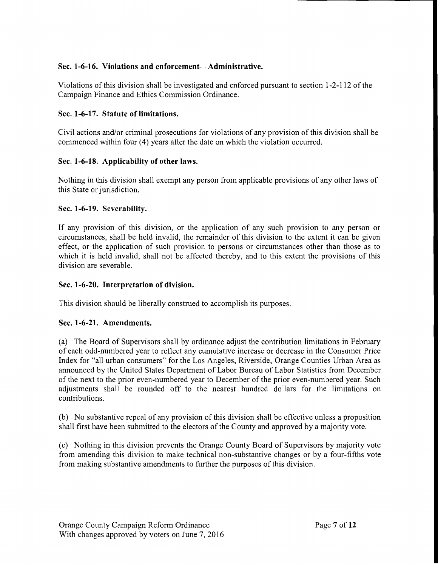# Sec. 1-6-16. Violations and enforcement-Administrative.

Violations of this division shall be investigated and enforced pursuant to section 1-2-112 of the Campaign Finance and Ethics Commission Ordinance.

# Sec. 1-6-17. Statute of limitations.

Civil actions and/or criminal prosecutions for violations of any provision of this division shall be commenced within four (4) years after the date on which the violation occurred.

# Sec. 1-6-18. Applicability of other laws.

Nothing in this division shall exempt any person from applicable provisions of any other laws of this State or jurisdiction.

# Sec. 1-6-19. Severability.

If any provision of this division, or the application of any such provision to any person or circumstances, shall be held invalid, the remainder of this division to the extent it can be given effect, or the application of such provision to persons or circumstances other than those as to which it is held invalid, shall not be affected thereby, and to this extent the provisions of this division are severable.

## Sec. 1-6-20. Interpretation of division.

This division should be liberally construed to accomplish its purposes.

# Sec. 1-6-21. Amendments.

(a) The Board of Supervisors shall by ordinance adjust the contribution limitations in February of each odd-numbered year to reflect any cumulative increase or decrease in the Consumer Price Index for "all urban consumers" for the Los Angeles, Riverside, Orange Counties Urban Area as announced by the United States Department of Labor Bureau of Labor Statistics from December of the next to the prior even-numbered year to December of the prior even-numbered year. Such adjustments shall be rounded off to the nearest hundred dollars for the limitations on contributions.

(b) No substantive repeal of any provision ofthis division shall be effective unless a proposition shall first have been submitted to the electors of the County and approved by a majority vote.

(c) Nothing in this division prevents the Orange County Board of Supervisors by majority vote from amending this division to make technical non-substantive changes or by a four-fifths vote from making substantive amendments to further the purposes of this division.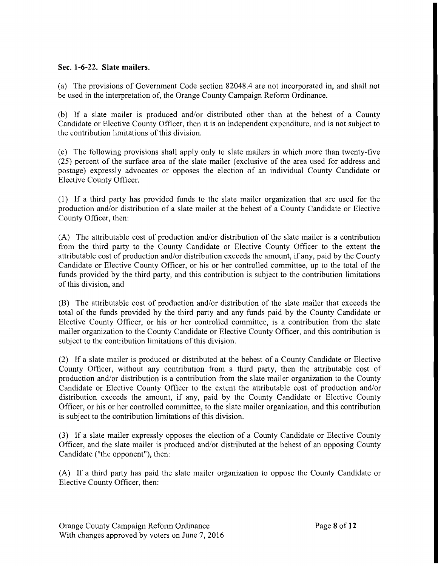## **Sec. 1-6-22. Slate mailers.**

(a) The provisions of Government Code section 82048.4 are not incorporated in, and shall not be used in the interpretation of, the Orange County Campaign Reform Ordinance.

(b) If a slate mailer is produced and/or distributed other than at the behest of a County Candidate or Elective County Officer, then it is an independent expenditure, and is not subject to the contribution limitations of this division.

(c) The following provisions shall apply only to slate mailers in which more than twenty-five (25) percent of the surface area of the slate mailer (exclusive of the area used for address and postage) expressly advocates or opposes the election of an individual County Candidate or Elective County Officer.

(I) If a third party has provided funds to the slate mailer organization that are used for the production and/or distribution of a slate mailer at the behest of a County Candidate or Elective County Officer, then:

(A) The attributable cost of production and/or distribution of the slate mailer is a contribution from the third party to the County Candidate or Elective County Officer to the extent the attributable cost of production and/or distribution exceeds the amount, if any, paid by the County Candidate or Elective County Officer, or his or her controlled committee, up to the total of the funds provided by the third party, and this contribution is subject to the contribution limitations of this division, and

(B) The attributable cost of production and/or distribution of the slate mailer that exceeds the total of the funds provided by the third party and any funds paid by the County Candidate or Elective County Officer, or his or her controlled committee, is a contribution from the slate mailer organization to the County Candidate or Elective County Officer, and this contribution is subject to the contribution limitations of this division.

(2) If a slate mailer is produced or distributed at the behest of a County Candidate or Elective County Officer, without any contribution from a third party, then the attributable cost of production and/or distribution is a contribution from the slate mailer organization to the County Candidate or Elective County Officer to the extent the attributable cost of production and/or distribution exceeds the amount, if any, paid by the County Candidate or Elective County Officer, or his or her controlled committee, to the slate mailer organization, and this contribution is subject to the contribution limitations of this division.

(3) If a slate mailer expressly opposes the election of a County Candidate or Elective County Officer, and the slate mailer is produced and/or distributed at the behest of an opposing County Candidate ("the opponent"), then:

(A) If a third party has paid the slate mailer organization to oppose the County Candidate or Elective County Officer, then: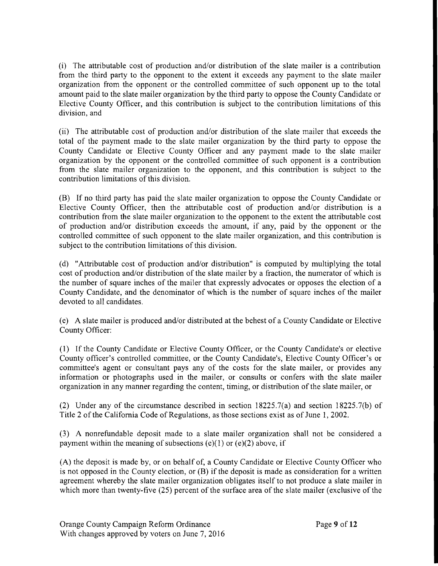(i) The attributable cost of production and/or distribution of the slate mailer is a contribution from the third party to the opponent to the extent it exceeds any payment to the slate mailer organization from the opponent or the controlled committee of such opponent up to the total amount paid to the slate mailer organization by the third party to oppose the County Candidate or Elective County Officer, and this contribution is subject to the contribution limitations of this division, and

(ii) The attributable cost of production and/or distribution of the slate mailer that exceeds the total of the payment made to the slate mailer organization by the third party to oppose the County Candidate or Elective County Officer and any payment made to the slate mailer organization by the opponent or the controlled committee of such opponent is a contribution from the slate mailer organization to the opponent, and this contribution is subject to the contribution limitations of this division.

(B) If no third party has paid the slate mailer organization to oppose the County Candidate or Elective County Officer, then the attributable cost of production and/or distribution is a contribution from the slate mailer organization to the opponent to the extent the attributable cost of production and/or distribution exceeds the amount, if any, paid by the opponent or the controlled committee of such opponent to the slate mailer organization, and this contribution is subject to the contribution limitations of this division.

(d) "Attributable cost of production and/or distribution" is computed by multiplying the total cost of production and/or distribution of the slate mailer by a fraction, the numerator of which is the number of square inches of the mailer that expressly advocates or opposes the election of a County Candidate, and the denominator of which is the number of square inches of the mailer devoted to all candidates.

(e) A slate mailer is produced and/or distributed at the behest of a County Candidate or Elective County Officer:

(l) If the County Candidate or Elective County Officer, or the County Candidate's or elective County officer's controlled committee, or the County Candidate's, Elective County Officer's or committee's agent or consultant pays any of the costs for the slate mailer, or provides any information or photographs used in the mailer, or consults or confers with the slate mailer organization in any manner regarding the content, timing, or distribution ofthe slate mailer, or

(2) Under any of the circumstance described in section 18225.7(a) and section 18225.7(b) of Title 2 of the California Code of Regulations, as those sections exist as of June 1, 2002.

(3) A nonrefundable deposit made to a slate mailer organization shall not be considered a payment within the meaning of subsections (e)(1) or (e)(2) above, if

(A) the deposit is made by, or on behalf of, a County Candidate or Elective County Officer who is not opposed in the County election, or (B) if the deposit is made as consideration for a written agreement whereby the slate mailer organization obligates itself to not produce a slate mailer in which more than twenty-five (25) percent of the surface area of the slate mailer (exclusive of the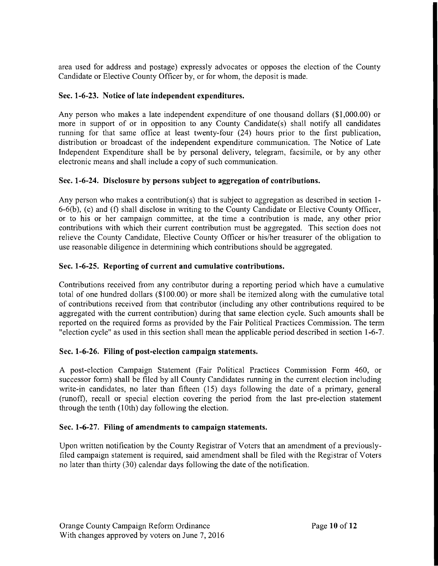area used for address and postage) expressly advocates or opposes the election of the County Candidate or Elective County Officer by, or for whom, the deposit is made.

# Sec. 1-6-23. Notice of late independent expenditures.

Any person who makes a late independent expenditure of one thousand dollars (\$1,000.00) or more in support of or in opposition to any County Candidate(s) shall notify all candidates running for that same office at least twenty-four (24) hours prior to the first publication, distribution or broadcast of the independent expenditure communication. The Notice of Late Independent Expenditure shall be by personal delivery, telegram, facsimile, or by any other electronic means and shall include a copy of such communication.

# Sec. 1-6-24. Disclosure by persons subject to aggregation of contributions.

Any person who makes a contribution(s) that is subject to aggregation as described in section 1- 6-6(b), (c) and (f) shall disclose in writing to the County Candidate or Elective County Officer, or to his or her campaign committee, at the time a contribution is made, any other prior contributions with which their current contribution must be aggregated. This section does not relieve the County Candidate, Elective County Officer or his/her treasurer of the obligation to use reasonable diligence in determining which contributions should be aggregated.

# Sec. 1-6-25. Reporting of current and cumulative contributions.

Contributions received from any contributor during a reporting period which have a cumulative total of one hundred dollars (\$100.00) or more shall be itemized along with the cumulative total of contributions received from that contributor (including any other contributions required to be aggregated with the current contribution) during that same election cycle. Such amounts shall be reported on the required forms as provided by the Fair Political Practices Commission. The term "election cycle" as used in this section shall mean the applicable period described in section 1-6-7.

# Sec. 1-6-26. Filing of post-election campaign statements.

A post-election Campaign Statement (Fair Political Practices Commission Form 460, or successor form) shall be filed by all County Candidates running in the current election including write-in candidates, no later than fifteen (15) days following the date of a primary, general (runoff), recall or special election covering the period from the last pre-election statement through the tenth (10th) day following the election.

## Sec. 1-6-27. Filing of amendments to campaign statements.

Upon written notification by the County Registrar of Voters that an amendment of a previouslyfiled campaign statement is required, said amendment shall be filed with the Registrar of Voters no later than thirty (30) calendar days following the date of the notification.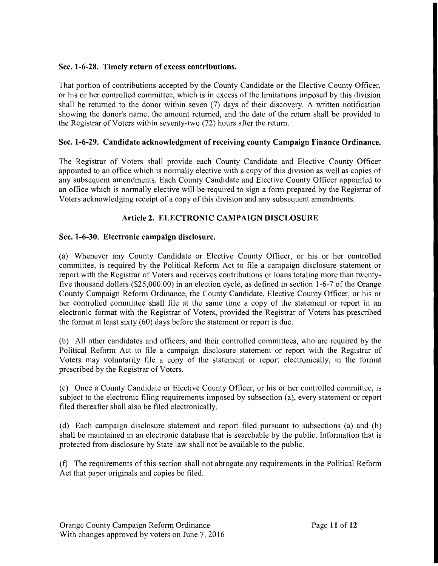# Sec. 1-6-28. Timely return of excess contributions.

That portion of contributions accepted by the County Candidate or the Elective County Officer, or his or her controlled committee, which is in excess of the limitations imposed by this division shall be returned to the donor within seven (7) days of their discovery. A written notification showing the donor's name, the amount returned, and the date of the return shall be provided to the Registrar of Voters within seventy-two (72) hours after the return.

# Sec. 1-6-29. Candidate acknowledgment of receiving county Campaign Finance Ordinance.

The Registrar of Voters shall provide each County Candidate and Elective County Officer appointed to an office which is normally elective with a copy of this division as well as copies of any subsequent amendments. Each County Candidate and Elective County Officer appointed to an office which is normally elective will be required to sign a form prepared by the Registrar of Voters acknowledging receipt of a copy of this division and any subsequent amendments.

# Article 2. ELECTRONIC CAMPAIGN DISCLOSURE

## Sec. 1-6-30. Electronic campaign disclosure.

(a) Whenever any County Candidate or Elective County Officer, or his or her controlled committee, is required by the Political Reform Act to file a campaign disclosure statement or report with the Registrar of Voters and receives contributions or loans totaling more than twentyfive thousand dollars (\$25,000.00) in an election cycle, as defined in section 1-6-7 ofthe Orange County Campaign Reform Ordinance, the County Candidate, Elective County Officer, or his or her controlled committee shall file at the same time a copy of the statement or report in an electronic format with the Registrar of Voters, provided the Registrar of Voters has prescribed the format at least sixty (60) days before the statement or report is due.

(b) All other candidates and officers, and their controlled committees, who are required by the Political Reform Act to file a campaign disclosure statement or report with the Registrar of Voters may voluntarily file a copy of the statement or report electronically, in the format prescribed by the Registrar of Voters.

(c) Once a County Candidate or Elective County Officer, or his or her controlled committee, is subject to the electronic filing requirements imposed by subsection (a), every statement or report filed thereafter shall also be filed electronically.

(d) Each campaign disclosure statement and report filed pursuant to subsections (a) and (b) shall be maintained in an electronic database that is searchable by the public. Information that is protected from disclosure by State law shall not be available to the public.

(f) The requirements of this section shall not abrogate any requirements in the Political Reform Act that paper originals and copies be filed.